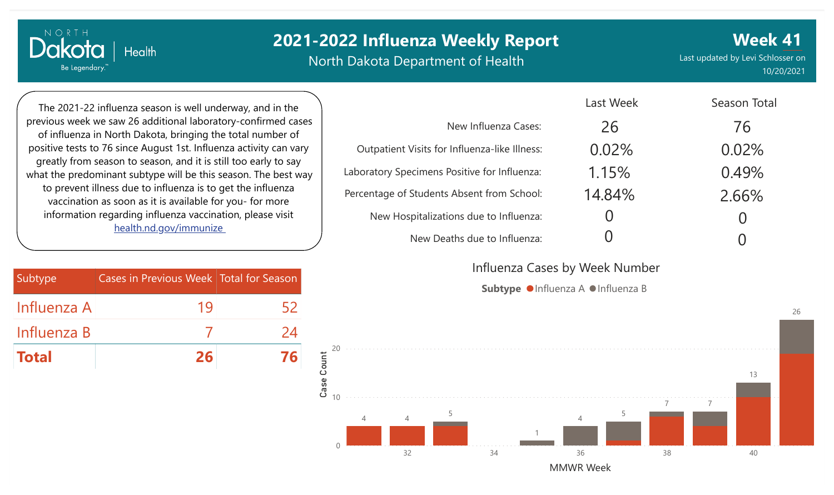North Dakota Department of Health

**Week 41** Last updated by Levi Schlosser on 10/20/2021

Season Total

The 2021-22 influenza season is well underway, and in the previous week we saw 26 additional laboratory-confirmed cases of influenza in North Dakota, bringing the total number of positive tests to 76 since August 1st. Influenza activity can vary greatly from season to season, and it is still too early to say what the predominant subtype will be this season. The best way to prevent illness due to influenza is to get the influenza vaccination as soon as it is available for you- for more information regarding influenza vaccination, please visit [health.nd.gov/immunize](http://health.nd.gov/immunize)

**Health** 

NORTH

Dakota

Be Legendary.

| Subtype      | Cases in Previous Week   Total for Season |    |
|--------------|-------------------------------------------|----|
| Influenza A  | 19                                        | 52 |
| Influenza B  |                                           | 24 |
| <b>Total</b> | 26                                        |    |

|                                               | LASL VVCCN | <b>DIOLITION</b> |
|-----------------------------------------------|------------|------------------|
| New Influenza Cases:                          | 26         | 76               |
| Outpatient Visits for Influenza-like Illness: | 0.02%      | 0.02%            |
| Laboratory Specimens Positive for Influenza:  | 1.15%      | 0.49%            |
| Percentage of Students Absent from School:    | 14.84%     | 2.66%            |
| New Hospitalizations due to Influenza:        |            |                  |
| New Deaths due to Influenza:                  |            |                  |

Last Week

Influenza Cases by Week Number

Subtype  $\bullet$  Influenza A  $\bullet$  Influenza B

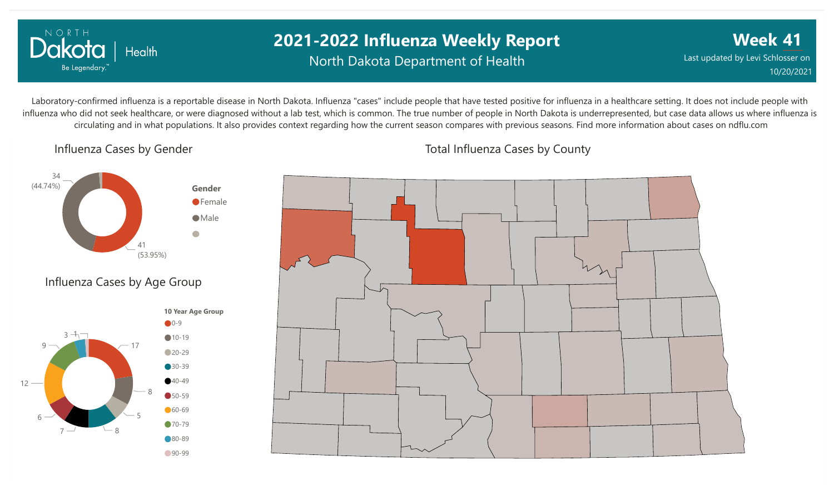

### **2021-2022 Influenza Weekly Report** North Dakota Department of Health

**Week 41** Last updated by Levi Schlosser on 10/20/2021

Laboratory-confirmed influenza is a reportable disease in North Dakota. Influenza "cases" include people that have tested positive for influenza in a healthcare setting. It does not include people with influenza who did not seek healthcare, or were diagnosed without a lab test, which is common. The true number of people in North Dakota is underrepresented, but case data allows us where influenza is circulating and in what populations. It also provides context regarding how the current season compares with previous seasons. Find more information about cases on ndflu.com

#### Influenza Cases by Gender







Total Influenza Cases by County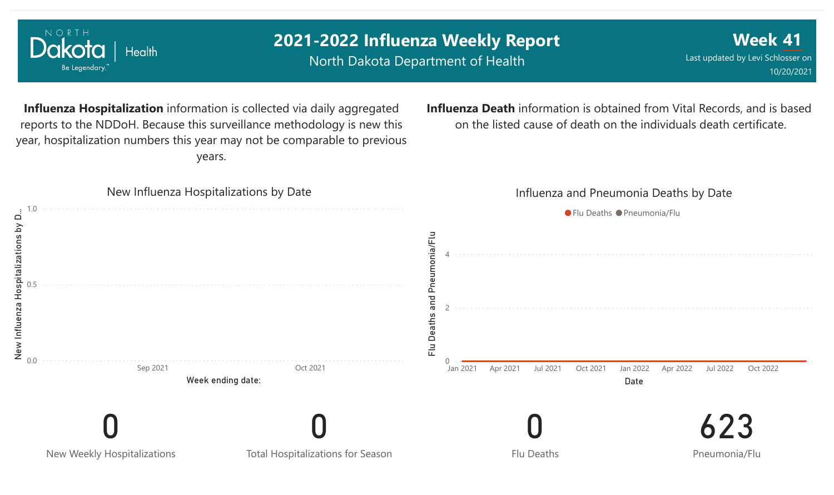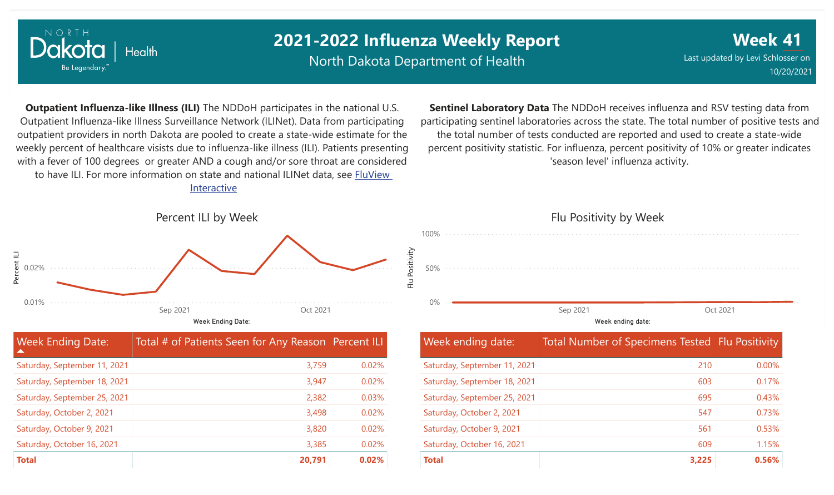

North Dakota Department of Health

**Week 41** Last updated by Levi Schlosser on 10/20/2021

**Outpatient Influenza-like Illness (ILI)** The NDDoH participates in the national U.S. Outpatient Influenza-like Illness Surveillance Network (ILINet). Data from participating outpatient providers in north Dakota are pooled to create a state-wide estimate for the weekly percent of healthcare visists due to influenza-like illness (ILI). Patients presenting with a fever of 100 degrees or greater AND a cough and/or sore throat are considered to have ILI. For more information [on state and national ILINet data, see FluView](http://fluview%20interactive/) Interactive

**Sentinel Laboratory Data** The NDDoH receives influenza and RSV testing data from participating sentinel laboratories across the state. The total number of positive tests and the total number of tests conducted are reported and used to create a state-wide percent positivity statistic. For influenza, percent positivity of 10% or greater indicates 'season level' influenza activity.



| <b>Week Ending Date:</b>     | Total # of Patients Seen for Any Reason Percent ILI |       |
|------------------------------|-----------------------------------------------------|-------|
| Saturday, September 11, 2021 | 3,759                                               | 0.02% |
| Saturday, September 18, 2021 | 3,947                                               | 0.02% |
| Saturday, September 25, 2021 | 2,382                                               | 0.03% |
| Saturday, October 2, 2021    | 3,498                                               | 0.02% |
| Saturday, October 9, 2021    | 3,820                                               | 0.02% |
| Saturday, October 16, 2021   | 3,385                                               | 0.02% |
| <b>Total</b>                 | 20,791                                              | 0.02% |

## Flu Positivity by Week 0% 50% 100% Week ending date: Sep 2021 Oct 2021

| Week ending date:            | Total Number of Specimens Tested   Flu Positivity |          |
|------------------------------|---------------------------------------------------|----------|
| Saturday, September 11, 2021 | 210                                               | $0.00\%$ |
| Saturday, September 18, 2021 | 603                                               | 0.17%    |
| Saturday, September 25, 2021 | 695                                               | 0.43%    |
| Saturday, October 2, 2021    | 547                                               | 0.73%    |
| Saturday, October 9, 2021    | 561                                               | 0.53%    |
| Saturday, October 16, 2021   | 609                                               | 1.15%    |
| <b>Total</b>                 | 3,225                                             | 0.56%    |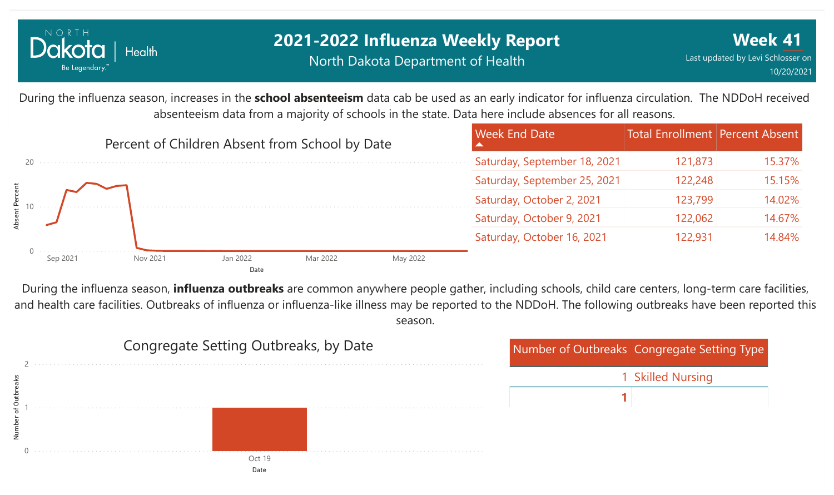

#### **2021-2022 Influenza Weekly Report** North Dakota Department of Health

During the influenza season, increases in the **school absenteeism** data cab be used as an early indicator for influenza circulation. The NDDoH received absenteeism data from a majority of schools in the state. Data here include absences for all reasons.



During the influenza season, **influenza outbreaks** are common anywhere people gather, including schools, child care centers, long-term care facilities, and health care facilities. Outbreaks of influenza or influenza-like illness may be reported to the NDDoH. The following outbreaks have been reported this season.

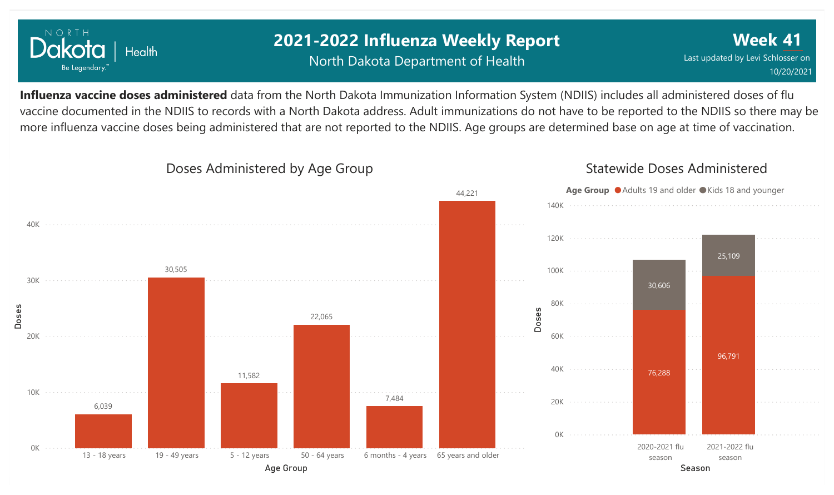

### **2021-2022 Influenza Weekly Report** North Dakota Department of Health

**Week 41** Last updated by Levi Schlosser on 10/20/2021

**Influenza vaccine doses administered** data from the North Dakota Immunization Information System (NDIIS) includes all administered doses of flu vaccine documented in the NDIIS to records with a North Dakota address. Adult immunizations do not have to be reported to the NDIIS so there may be more influenza vaccine doses being administered that are not reported to the NDIIS. Age groups are determined base on age at time of vaccination.

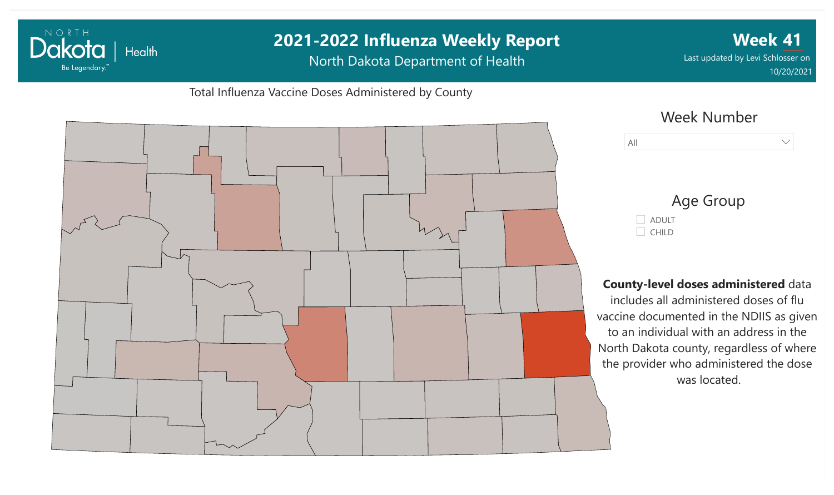#### **2021-2022 Influenza Weekly Report Week 41** Dakota | Health North Dakota Department of Health Last updated by Levi Schlosser on Be Legendary. 10/20/2021Total Influenza Vaccine Doses Administered by County Week Number All  $\vee$ Age Group ADULT  $\Box$  CHILD **County-level doses administered** data includes all administered doses of flu vaccine documented in the NDIIS as given to an individual with an address in the North Dakota county, regardless of where the provider who administered the dose was located.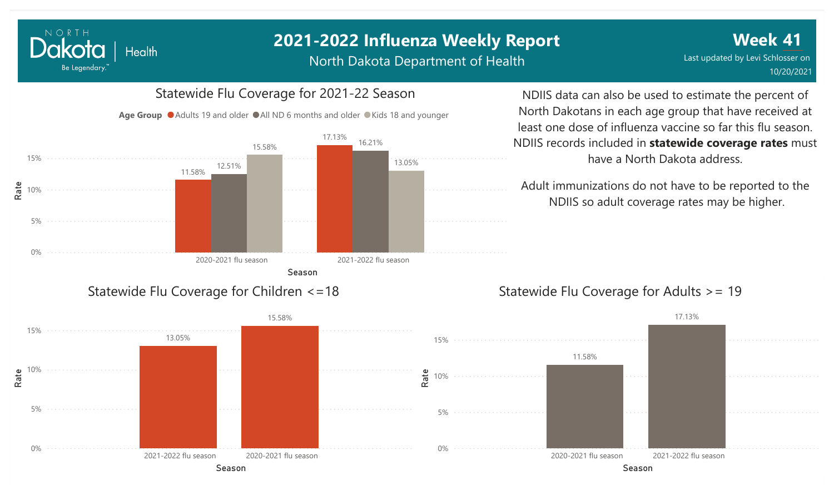North Dakota Department of Health

**Week 41** Last updated by Levi Schlosser on 10/20/2021

#### Statewide Flu Coverage for 2021-22 Season

Age Group  $\bullet$  Adults 19 and older  $\bullet$  All ND 6 months and older  $\bullet$  Kids 18 and younger



NORTH

Dakota

Be Legendary.

Health

NDIIS data can also be used to estimate the percent of North Dakotans in each age group that have received at least one dose of influenza vaccine so far this flu season. NDIIS records included in **statewide coverage rates** must have a North Dakota address.

Adult immunizations do not have to be reported to the NDIIS so adult coverage rates may be higher.

#### Statewide Flu Coverage for Adults >= 19